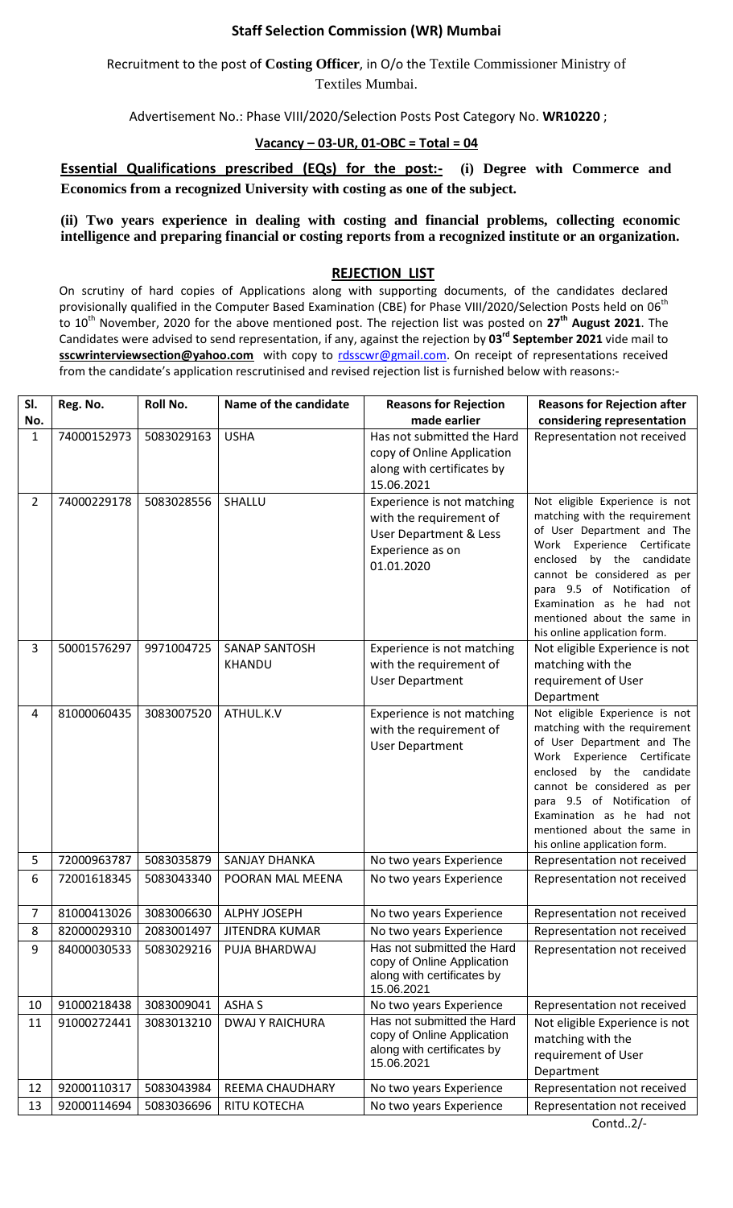## **Staff Selection Commission (WR) Mumbai**

Recruitment to the post of **Costing Officer**, in O/o the Textile Commissioner Ministry of Textiles Mumbai.

Advertisement No.: Phase VIII/2020/Selection Posts Post Category No. **WR10220** ;

## **Vacancy – 03-UR, 01-OBC = Total = 04**

**Essential Qualifications prescribed (EQs) for the post:-** (i) Degree with Commerce and **Economics from a recognized University with costing as one of the subject.** 

**(ii) Two years experience in dealing with costing and financial problems, collecting economic intelligence and preparing financial or costing reports from a recognized institute or an organization.**

## **REJECTION LIST**

On scrutiny of hard copies of Applications along with supporting documents, of the candidates declared provisionally qualified in the Computer Based Examination (CBE) for Phase VIII/2020/Selection Posts held on 06<sup>th</sup> to 10th November, 2020 for the above mentioned post. The rejection list was posted on **27th August 2021**. The Candidates were advised to send representation, if any, against the rejection by **03rd September 2021** vide mail to **sscwrinterviewsection@yahoo.com** with copy to [rdsscwr@gmail.com.](mailto:rdsscwr@gmail.com) On receipt of representations received from the candidate's application rescrutinised and revised rejection list is furnished below with reasons:-

| SI.            | Reg. No.                 | Roll No.   | Name of the candidate                 | <b>Reasons for Rejection</b>                                                                                                 | <b>Reasons for Rejection after</b>                                                                                                                                                                                                                                                                                  |
|----------------|--------------------------|------------|---------------------------------------|------------------------------------------------------------------------------------------------------------------------------|---------------------------------------------------------------------------------------------------------------------------------------------------------------------------------------------------------------------------------------------------------------------------------------------------------------------|
| No.            |                          |            |                                       | made earlier                                                                                                                 | considering representation                                                                                                                                                                                                                                                                                          |
| 1              | 74000152973              | 5083029163 | <b>USHA</b>                           | Has not submitted the Hard<br>copy of Online Application<br>along with certificates by<br>15.06.2021                         | Representation not received                                                                                                                                                                                                                                                                                         |
| $\overline{2}$ | 74000229178              | 5083028556 | SHALLU                                | Experience is not matching<br>with the requirement of<br><b>User Department &amp; Less</b><br>Experience as on<br>01.01.2020 | Not eligible Experience is not<br>matching with the requirement<br>of User Department and The<br>Work Experience Certificate<br>enclosed by the candidate<br>cannot be considered as per<br>para 9.5 of Notification of<br>Examination as he had not<br>mentioned about the same in<br>his online application form. |
| 3              | 50001576297              | 9971004725 | <b>SANAP SANTOSH</b><br><b>KHANDU</b> | Experience is not matching<br>with the requirement of<br><b>User Department</b>                                              | Not eligible Experience is not<br>matching with the<br>requirement of User<br>Department                                                                                                                                                                                                                            |
| 4              | 81000060435              | 3083007520 | ATHUL.K.V                             | Experience is not matching<br>with the requirement of<br><b>User Department</b>                                              | Not eligible Experience is not<br>matching with the requirement<br>of User Department and The<br>Work Experience Certificate<br>enclosed by the candidate<br>cannot be considered as per<br>para 9.5 of Notification of<br>Examination as he had not<br>mentioned about the same in<br>his online application form. |
| 5              | 72000963787              | 5083035879 | <b>SANJAY DHANKA</b>                  | No two years Experience                                                                                                      | Representation not received                                                                                                                                                                                                                                                                                         |
| 6              | 72001618345              | 5083043340 | POORAN MAL MEENA                      | No two years Experience                                                                                                      | Representation not received                                                                                                                                                                                                                                                                                         |
| 7              | 81000413026              | 3083006630 | ALPHY JOSEPH                          | No two years Experience                                                                                                      | Representation not received                                                                                                                                                                                                                                                                                         |
| 8              | 82000029310   2083001497 |            | JITENDRA KUMAR                        | No two years Experience                                                                                                      | Representation not received                                                                                                                                                                                                                                                                                         |
| 9              | 84000030533              | 5083029216 | PUJA BHARDWAJ                         | Has not submitted the Hard<br>copy of Online Application<br>along with certificates by<br>15.06.2021                         | Representation not received                                                                                                                                                                                                                                                                                         |
| 10             | 91000218438              | 3083009041 | <b>ASHAS</b>                          | No two years Experience                                                                                                      | Representation not received                                                                                                                                                                                                                                                                                         |
| 11             | 91000272441              | 3083013210 | <b>DWAJ Y RAICHURA</b>                | Has not submitted the Hard<br>copy of Online Application<br>along with certificates by<br>15.06.2021                         | Not eligible Experience is not<br>matching with the<br>requirement of User<br>Department                                                                                                                                                                                                                            |
| 12             | 92000110317              | 5083043984 | REEMA CHAUDHARY                       | No two years Experience                                                                                                      | Representation not received                                                                                                                                                                                                                                                                                         |
| 13             | 92000114694              | 5083036696 | RITU KOTECHA                          | No two years Experience                                                                                                      | Representation not received                                                                                                                                                                                                                                                                                         |
|                |                          |            |                                       |                                                                                                                              | Contd $2/-$                                                                                                                                                                                                                                                                                                         |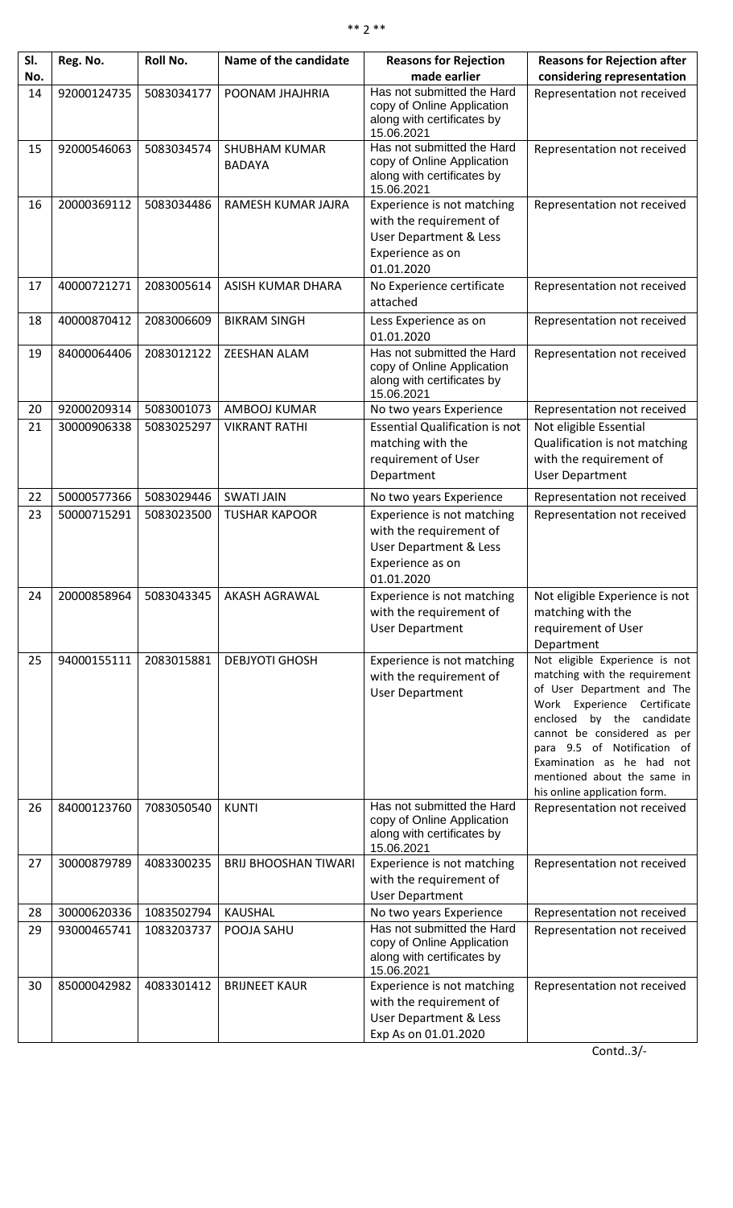| SI. | Reg. No.    | Roll No.   | Name of the candidate                 | <b>Reasons for Rejection</b>                                                                                       | <b>Reasons for Rejection after</b>                                                                                                                                                                                                                                                                                  |
|-----|-------------|------------|---------------------------------------|--------------------------------------------------------------------------------------------------------------------|---------------------------------------------------------------------------------------------------------------------------------------------------------------------------------------------------------------------------------------------------------------------------------------------------------------------|
| No. |             |            |                                       | made earlier                                                                                                       | considering representation                                                                                                                                                                                                                                                                                          |
| 14  | 92000124735 | 5083034177 | POONAM JHAJHRIA                       | Has not submitted the Hard<br>copy of Online Application<br>along with certificates by<br>15.06.2021               | Representation not received                                                                                                                                                                                                                                                                                         |
| 15  | 92000546063 | 5083034574 | <b>SHUBHAM KUMAR</b><br><b>BADAYA</b> | Has not submitted the Hard<br>copy of Online Application<br>along with certificates by<br>15.06.2021               | Representation not received                                                                                                                                                                                                                                                                                         |
| 16  | 20000369112 | 5083034486 | RAMESH KUMAR JAJRA                    | Experience is not matching<br>with the requirement of<br>User Department & Less<br>Experience as on<br>01.01.2020  | Representation not received                                                                                                                                                                                                                                                                                         |
| 17  | 40000721271 | 2083005614 | ASISH KUMAR DHARA                     | No Experience certificate<br>attached                                                                              | Representation not received                                                                                                                                                                                                                                                                                         |
| 18  | 40000870412 | 2083006609 | <b>BIKRAM SINGH</b>                   | Less Experience as on<br>01.01.2020                                                                                | Representation not received                                                                                                                                                                                                                                                                                         |
| 19  | 84000064406 | 2083012122 | ZEESHAN ALAM                          | Has not submitted the Hard<br>copy of Online Application<br>along with certificates by<br>15.06.2021               | Representation not received                                                                                                                                                                                                                                                                                         |
| 20  | 92000209314 | 5083001073 | AMBOOJ KUMAR                          | No two years Experience                                                                                            | Representation not received                                                                                                                                                                                                                                                                                         |
| 21  | 30000906338 | 5083025297 | <b>VIKRANT RATHI</b>                  | <b>Essential Qualification is not</b><br>matching with the<br>requirement of User<br>Department                    | Not eligible Essential<br>Qualification is not matching<br>with the requirement of<br><b>User Department</b>                                                                                                                                                                                                        |
|     |             |            |                                       |                                                                                                                    |                                                                                                                                                                                                                                                                                                                     |
| 22  | 50000577366 | 5083029446 | <b>SWATI JAIN</b>                     | No two years Experience                                                                                            | Representation not received                                                                                                                                                                                                                                                                                         |
| 23  | 50000715291 | 5083023500 | <b>TUSHAR KAPOOR</b>                  | Experience is not matching<br>with the requirement of<br>User Department & Less<br>Experience as on<br>01.01.2020  | Representation not received                                                                                                                                                                                                                                                                                         |
| 24  | 20000858964 | 5083043345 | <b>AKASH AGRAWAL</b>                  | Experience is not matching<br>with the requirement of<br><b>User Department</b>                                    | Not eligible Experience is not<br>matching with the<br>requirement of User<br>Department                                                                                                                                                                                                                            |
| 25  | 94000155111 | 2083015881 | <b>DEBJYOTI GHOSH</b>                 | Experience is not matching<br>with the requirement of<br><b>User Department</b>                                    | Not eligible Experience is not<br>matching with the requirement<br>of User Department and The<br>Work Experience Certificate<br>enclosed by the candidate<br>cannot be considered as per<br>para 9.5 of Notification of<br>Examination as he had not<br>mentioned about the same in<br>his online application form. |
| 26  | 84000123760 | 7083050540 | <b>KUNTI</b>                          | Has not submitted the Hard<br>copy of Online Application<br>along with certificates by<br>15.06.2021               | Representation not received                                                                                                                                                                                                                                                                                         |
| 27  | 30000879789 | 4083300235 | <b>BRIJ BHOOSHAN TIWARI</b>           | Experience is not matching<br>with the requirement of<br><b>User Department</b>                                    | Representation not received                                                                                                                                                                                                                                                                                         |
| 28  | 30000620336 | 1083502794 | <b>KAUSHAL</b>                        | No two years Experience                                                                                            | Representation not received                                                                                                                                                                                                                                                                                         |
| 29  | 93000465741 | 1083203737 | POOJA SAHU                            | Has not submitted the Hard<br>copy of Online Application<br>along with certificates by<br>15.06.2021               | Representation not received                                                                                                                                                                                                                                                                                         |
| 30  | 85000042982 | 4083301412 | <b>BRIJNEET KAUR</b>                  | Experience is not matching<br>with the requirement of<br><b>User Department &amp; Less</b><br>Exp As on 01.01.2020 | Representation not received                                                                                                                                                                                                                                                                                         |

Contd..3/-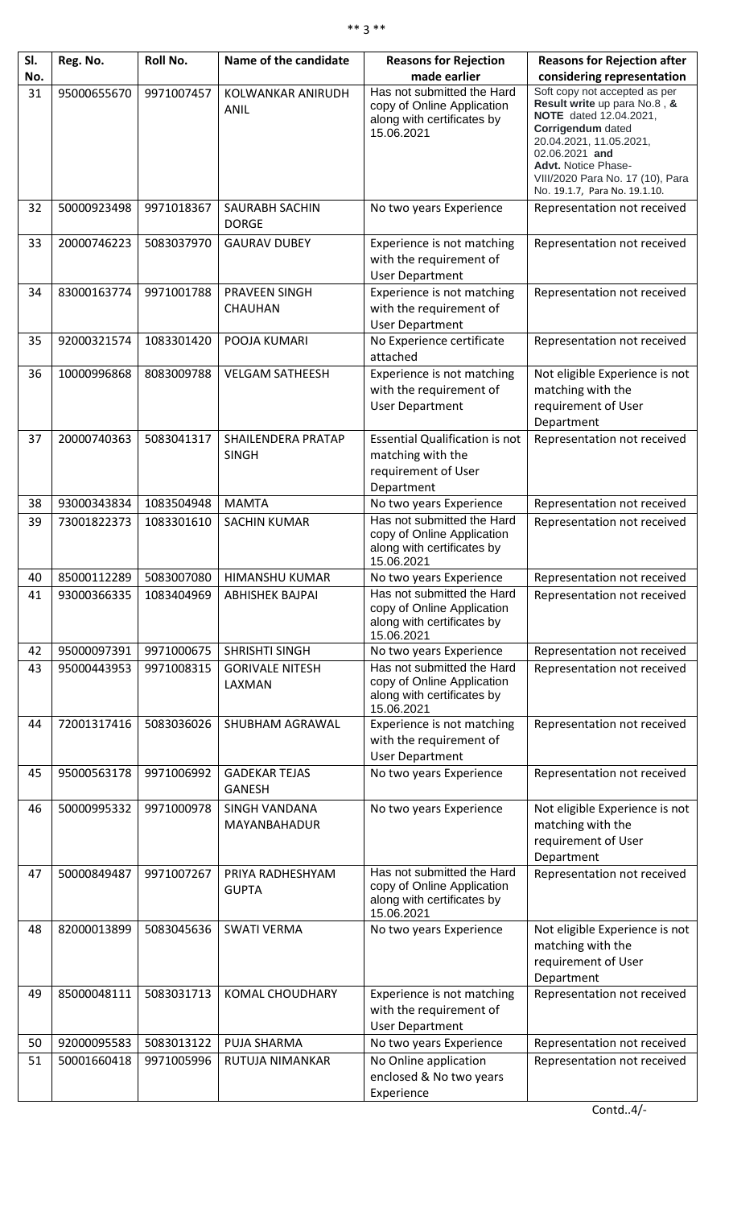| SI. | Reg. No.    | <b>Roll No.</b> | Name of the candidate                 | <b>Reasons for Rejection</b>                                                                         | <b>Reasons for Rejection after</b>                                                                                                                                                                                                                                  |
|-----|-------------|-----------------|---------------------------------------|------------------------------------------------------------------------------------------------------|---------------------------------------------------------------------------------------------------------------------------------------------------------------------------------------------------------------------------------------------------------------------|
| No. |             |                 |                                       | made earlier                                                                                         | considering representation                                                                                                                                                                                                                                          |
| 31  | 95000655670 | 9971007457      | KOLWANKAR ANIRUDH<br><b>ANIL</b>      | Has not submitted the Hard<br>copy of Online Application<br>along with certificates by<br>15.06.2021 | Soft copy not accepted as per<br>Result write up para No.8, &<br><b>NOTE</b> dated 12.04.2021,<br>Corrigendum dated<br>20.04.2021, 11.05.2021,<br>02.06.2021 and<br><b>Advt. Notice Phase-</b><br>VIII/2020 Para No. 17 (10), Para<br>No. 19.1.7, Para No. 19.1.10. |
| 32  | 50000923498 | 9971018367      | <b>SAURABH SACHIN</b><br><b>DORGE</b> | No two years Experience                                                                              | Representation not received                                                                                                                                                                                                                                         |
| 33  | 20000746223 | 5083037970      | <b>GAURAV DUBEY</b>                   | Experience is not matching<br>with the requirement of<br><b>User Department</b>                      | Representation not received                                                                                                                                                                                                                                         |
| 34  | 83000163774 | 9971001788      | PRAVEEN SINGH<br><b>CHAUHAN</b>       | Experience is not matching<br>with the requirement of<br><b>User Department</b>                      | Representation not received                                                                                                                                                                                                                                         |
| 35  | 92000321574 | 1083301420      | POOJA KUMARI                          | No Experience certificate<br>attached                                                                | Representation not received                                                                                                                                                                                                                                         |
| 36  | 10000996868 | 8083009788      | <b>VELGAM SATHEESH</b>                | Experience is not matching<br>with the requirement of<br><b>User Department</b>                      | Not eligible Experience is not<br>matching with the<br>requirement of User<br>Department                                                                                                                                                                            |
| 37  | 20000740363 | 5083041317      | SHAILENDERA PRATAP<br><b>SINGH</b>    | <b>Essential Qualification is not</b><br>matching with the<br>requirement of User<br>Department      | Representation not received                                                                                                                                                                                                                                         |
| 38  | 93000343834 | 1083504948      | <b>MAMTA</b>                          | No two years Experience                                                                              | Representation not received                                                                                                                                                                                                                                         |
| 39  | 73001822373 | 1083301610      | <b>SACHIN KUMAR</b>                   | Has not submitted the Hard<br>copy of Online Application<br>along with certificates by<br>15.06.2021 | Representation not received                                                                                                                                                                                                                                         |
| 40  | 85000112289 | 5083007080      | <b>HIMANSHU KUMAR</b>                 | No two years Experience                                                                              | Representation not received                                                                                                                                                                                                                                         |
| 41  | 93000366335 | 1083404969      | <b>ABHISHEK BAJPAI</b>                | Has not submitted the Hard<br>copy of Online Application<br>along with certificates by<br>15.06.2021 | Representation not received                                                                                                                                                                                                                                         |
| 42  | 95000097391 | 9971000675      | SHRISHTI SINGH                        | No two years Experience                                                                              | Representation not received                                                                                                                                                                                                                                         |
| 43  | 95000443953 | 9971008315      | <b>GORIVALE NITESH</b><br>LAXMAN      | Has not submitted the Hard<br>copy of Online Application<br>along with certificates by<br>15.06.2021 | Representation not received                                                                                                                                                                                                                                         |
| 44  | 72001317416 | 5083036026      | SHUBHAM AGRAWAL                       | Experience is not matching<br>with the requirement of<br><b>User Department</b>                      | Representation not received                                                                                                                                                                                                                                         |
| 45  | 95000563178 | 9971006992      | <b>GADEKAR TEJAS</b><br><b>GANESH</b> | No two years Experience                                                                              | Representation not received                                                                                                                                                                                                                                         |
| 46  | 50000995332 | 9971000978      | <b>SINGH VANDANA</b><br>MAYANBAHADUR  | No two years Experience                                                                              | Not eligible Experience is not<br>matching with the<br>requirement of User<br>Department                                                                                                                                                                            |
| 47  | 50000849487 | 9971007267      | PRIYA RADHESHYAM<br><b>GUPTA</b>      | Has not submitted the Hard<br>copy of Online Application<br>along with certificates by<br>15.06.2021 | Representation not received                                                                                                                                                                                                                                         |
| 48  | 82000013899 | 5083045636      | <b>SWATI VERMA</b>                    | No two years Experience                                                                              | Not eligible Experience is not<br>matching with the<br>requirement of User<br>Department                                                                                                                                                                            |
| 49  | 85000048111 | 5083031713      | <b>KOMAL CHOUDHARY</b>                | Experience is not matching<br>with the requirement of<br><b>User Department</b>                      | Representation not received                                                                                                                                                                                                                                         |
| 50  | 92000095583 | 5083013122      | <b>PUJA SHARMA</b>                    | No two years Experience                                                                              | Representation not received                                                                                                                                                                                                                                         |
| 51  | 50001660418 | 9971005996      | RUTUJA NIMANKAR                       | No Online application<br>enclosed & No two years<br>Experience                                       | Representation not received                                                                                                                                                                                                                                         |